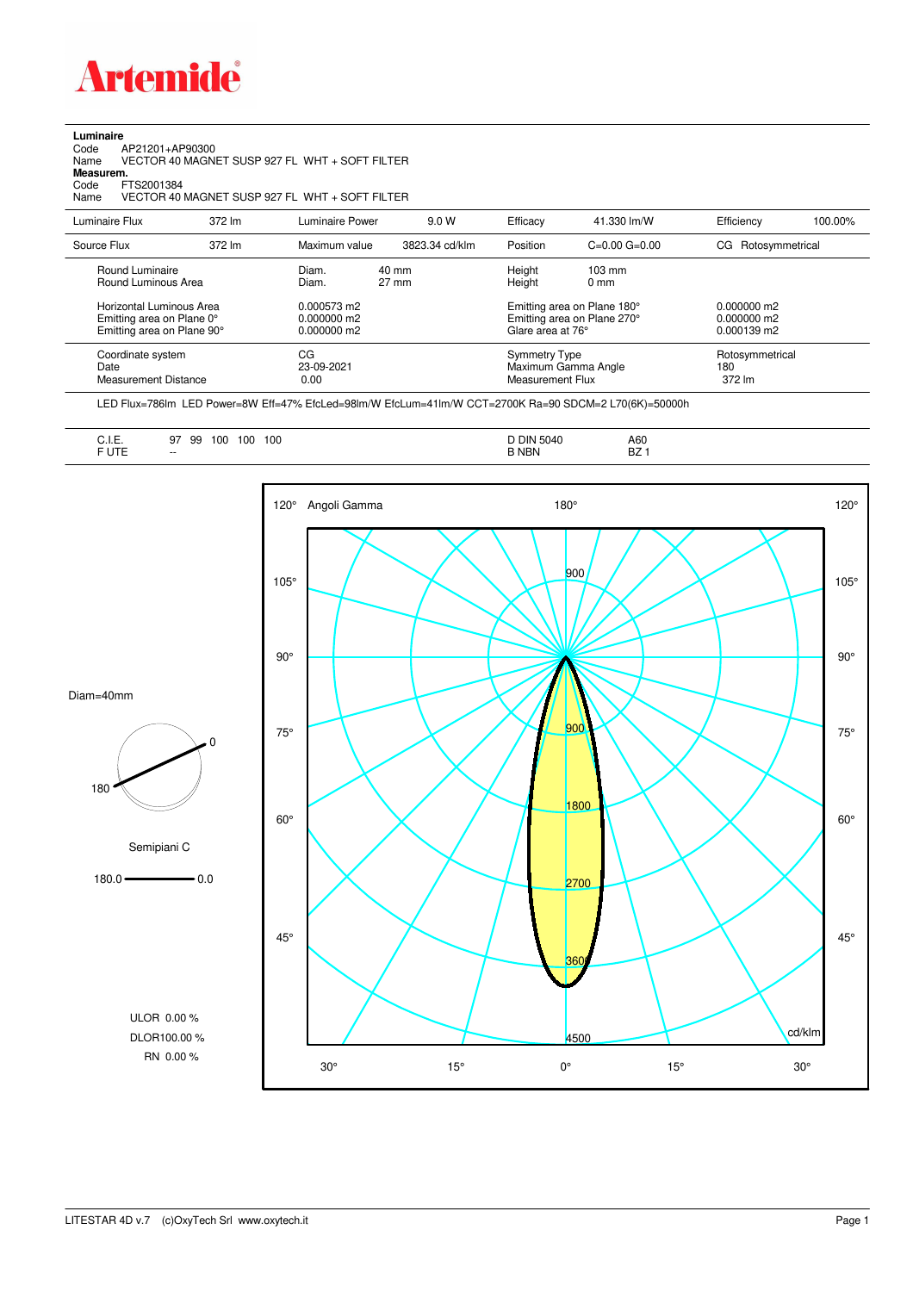

**Luminaire**

| AP21201+AP90300<br>Code<br>Name<br>Measurem.<br>FTS2001384<br>Code<br>Name          |                                                                                                                                | VECTOR 40 MAGNET SUSP 927 FL WHT + SOFT FILTER<br>VECTOR 40 MAGNET SUSP 927 FL WHT + SOFT FILTER |                                             |                                                                        |                                    |                                  |         |
|-------------------------------------------------------------------------------------|--------------------------------------------------------------------------------------------------------------------------------|--------------------------------------------------------------------------------------------------|---------------------------------------------|------------------------------------------------------------------------|------------------------------------|----------------------------------|---------|
| Luminaire Flux                                                                      | 372 lm                                                                                                                         | Luminaire Power                                                                                  | 9.0 W                                       | Efficacy                                                               | 41.330 lm/W                        | Efficiency                       | 100.00% |
| Source Flux                                                                         | 372 lm                                                                                                                         | Maximum value                                                                                    | 3823.34 cd/klm                              | Position                                                               | $C = 0.00$ $G = 0.00$              | CG Rotosymmetrical               |         |
| Round Luminaire<br>Round Luminous Area                                              |                                                                                                                                | Diam.<br>40 mm<br>$27 \text{ mm}$<br>Diam.                                                       |                                             | Height<br>Height                                                       | $103 \text{ mm}$<br>$0 \text{ mm}$ |                                  |         |
| Horizontal Luminous Area<br>Emitting area on Plane 0°<br>Emitting area on Plane 90° | $0.000573$ m2<br>Emitting area on Plane 180°<br>Emitting area on Plane 270°<br>0.000000 m2<br>0.000000 m2<br>Glare area at 76° |                                                                                                  | $0.000000$ m2<br>0.000000 m2<br>0.000139 m2 |                                                                        |                                    |                                  |         |
| Coordinate system<br>Date<br><b>Measurement Distance</b>                            |                                                                                                                                | CG<br>23-09-2021<br>0.00                                                                         |                                             | <b>Symmetry Type</b><br>Maximum Gamma Angle<br><b>Measurement Flux</b> |                                    | Rotosymmetrical<br>180<br>372 lm |         |

LED Flux=786lm LED Power=8W Eff=47% EfcLed=98lm/W EfcLum=41lm/W CCT=2700K Ra=90 SDCM=2 L70(6K)=50000h